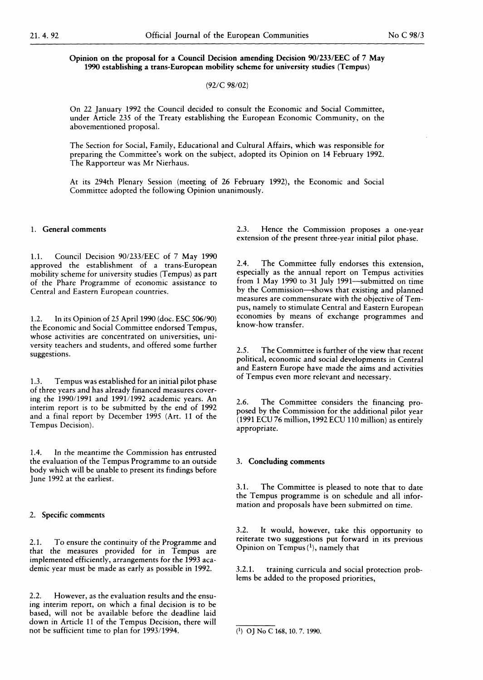# Opinion on the proposal for a Council Decision amending Decision 90/233/EEC of 7 May 1990 establishing a trans-European mobility scheme for university studies (Tempus)

### (92/C 98/02)

On 22 January 1992 the Council decided to consult the Economic and Social Committee, under Article 235 of the Treaty establishing the European Economic Community, on the abovementioned proposal.

The Section for Social, Family, Educational and Cultural Affairs, which was responsible for preparing the Committee's work on the subject, adopted its Opinion on 14 February 1992. The Rapporteur was Mr Nierhaus.

At its 294th Plenary Session ( meeting of 26 February 1992), the Economic and Social Committee adopted the following Opinion unanimously.

#### 1. General comments

1.1 . Council Decision 90/233/EEC of 7 May 1990 approved the establishment of a trans-European mobility scheme for university studies (Tempus) as part of the Phare Programme of economic assistance to Central and Eastern European countries.

1.2. In its Opinion of 25 April 1990 (doc. ESC 506/90) the Economic and Social Committee endorsed Tempus, whose activities are concentrated on universities, university teachers and students, and offered some further suggestions.

1.3 . Tempus was established for an initial pilot phase of three years and has already financed measures covering the 1990/1991 and 1991/1992 academic years. An interim report is to be submitted by the end of 1992 and a final report by December 1995 (Art. 11 of the Tempus Decision).

1.4. In the meantime the Commission has entrusted the evaluation of the Tempus Programme to an outside body which will be unable to present its findings before June 1992 at the earliest.

### 2. Specific comments

2.1. To ensure the continuity of the Programme and that the measures provided for in Tempus are implemented efficiently, arrangements for the 1993 academic year must be made as early as possible in 1992.

2.2. However, as the evaluation results and the ensuing interim report, on which a final decision is to be based, will not be available before the deadline laid down in Article 11 of the Tempus Decision, there will not be sufficient time to plan for 1993/1994. (a) OJ No C 168, 10. 7. 1990.

2.3 . Hence the Commission proposes a one-year extension of the present three-year initial pilot phase.

2.4. The Committee fully endorses this extension, especially as the annual report on Tempus activities from <sup>1</sup> May 1990 to 31 July 1991—submitted on time by the Commission—shows that existing and planned measures are commensurate with the objective of Tempus, namely to stimulate Central and Eastern European economies by means of exchange programmes and know-how transfer.

2.5. The Committee is further of the view that recent political, economic and social developments in Central and Eastern Europe have made the aims and activities of Tempus even more relevant and necessary.

2.6. The Committee considers the financing proposed by the Commission for the additional pilot year ( 1991 ECU 76 million, 1992 ECU 110 million) as entirely appropriate.

#### 3. Concluding comments

3.1. The Committee is pleased to note that to date the Tempus programme is on schedule and all information and proposals have been submitted on time.

3.2. It would, however, take this opportunity to reiterate two suggestions put forward in its previous Opinion on Tempus  $(1)$ , namely that

3.2.1 . training curricula and social protection problems be added to the proposed priorities,